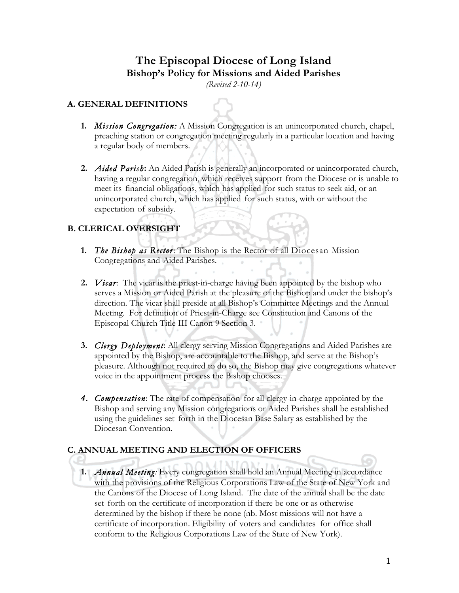# **The Episcopal Diocese of Long Island Bishop's Policy for Missions and Aided Parishes**

*(Revised 2-10-14)*

#### **A. GENERAL DEFINITIONS**

- **1.** *Mission Congregation:* A Mission Congregation is an unincorporated church, chapel, preaching station or congregation meeting regularly in a particular location and having a regular body of members.
- **2.** *Aided Parish***:** An Aided Parish is generally an incorporated or unincorporated church, having a regular congregation, which receives support from the Diocese or is unable to meet its financial obligations, which has applied for such status to seek aid, or an unincorporated church, which has applied for such status, with or without the expectation of subsidy.

## **B. CLERICAL OVERSIGHT**

- **1.** *The Bishop as Rector*: The Bishop is the Rector of all Diocesan Mission Congregations and Aided Parishes.
- **2.** *Vicar*: The vicar is the priest-in-charge having been appointed by the bishop who serves a Mission or Aided Parish at the pleasure of the Bishop and under the bishop's direction. The vicar shall preside at all Bishop's Committee Meetings and the Annual Meeting. For definition of Priest-in-Charge see Constitution and Canons of the Episcopal Church Title III Canon 9 Section 3.
- **3.** *Clergy Deployment*: All clergy serving Mission Congregations and Aided Parishes are appointed by the Bishop, are accountable to the Bishop, and serve at the Bishop's pleasure. Although not required to do so, the Bishop may give congregations whatever voice in the appointment process the Bishop chooses.
- *4. Compensation*: The rate of compensation for all clergy-in-charge appointed by the Bishop and serving any Mission congregations or Aided Parishes shall be established using the guidelines set forth in the Diocesan Base Salary as established by the Diocesan Convention.

#### **C. ANNUAL MEETING AND ELECTION OF OFFICERS**

**1.** *Annual Meeting:* Every congregation shall hold an Annual Meeting in accordance with the provisions of the Religious Corporations Law of the State of New York and the Canons of the Diocese of Long Island. The date of the annual shall be the date set forth on the certificate of incorporation if there be one or as otherwise determined by the bishop if there be none (nb. Most missions will not have a certificate of incorporation. Eligibility of voters and candidates for office shall conform to the Religious Corporations Law of the State of New York).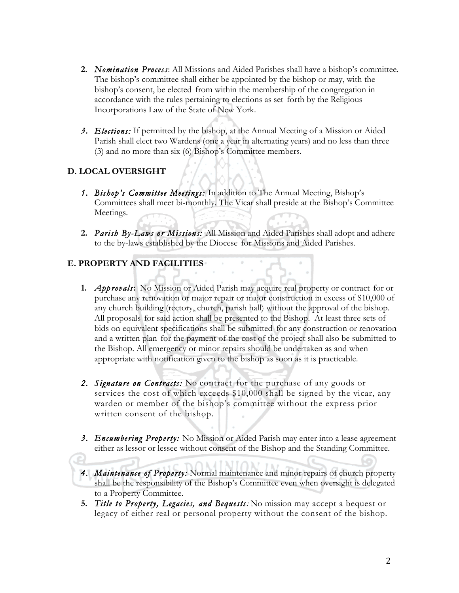- **2.** *Nomination Process*: All Missions and Aided Parishes shall have a bishop's committee. The bishop's committee shall either be appointed by the bishop or may, with the bishop's consent, be elected from within the membership of the congregation in accordance with the rules pertaining to elections as set forth by the Religious Incorporations Law of the State of New York.
- *3. Elections:* If permitted by the bishop, at the Annual Meeting of a Mission or Aided Parish shall elect two Wardens (one a year in alternating years) and no less than three (3) and no more than six (6) Bishop's Committee members.

## **D. LOCAL OVERSIGHT**

- *1. Bishop's Committee Meetings:* In addition to The Annual Meeting, Bishop's Committees shall meet bi-monthly. The Vicar shall preside at the Bishop's Committee Meetings.
- **2.** *Parish By-Laws or Missions:* All Mission and Aided Parishes shall adopt and adhere to the by-laws established by the Diocese for Missions and Aided Parishes.

### **E. PROPERTY AND FACILITIES**

- **1.** *Approvals***:** No Mission or Aided Parish may acquire real property or contract for or purchase any renovation or major repair or major construction in excess of \$10,000 of any church building (rectory, church, parish hall) without the approval of the bishop. All proposals for said action shall be presented to the Bishop. At least three sets of bids on equivalent specifications shall be submitted for any construction or renovation and a written plan for the payment of the cost of the project shall also be submitted to the Bishop. All emergency or minor repairs should be undertaken as and when appropriate with notification given to the bishop as soon as it is practicable.
- *2. Signature on Contracts:* No contract for the purchase of any goods or services the cost of which exceeds \$10,000 shall be signed by the vicar, any warden or member of the bishop's committee without the express prior written consent of the bishop.
- *3. Encumbering Property:* No Mission or Aided Parish may enter into a lease agreement either as lessor or lessee without consent of the Bishop and the Standing Committee.
- *4. Maintenance of Property:* Normal maintenance and minor repairs of church property shall be the responsibility of the Bishop's Committee even when oversight is delegated to a Property Committee.
- **5.** *Title to Property, Legacies, and Bequests:* No mission may accept a bequest or legacy of either real or personal property without the consent of the bishop.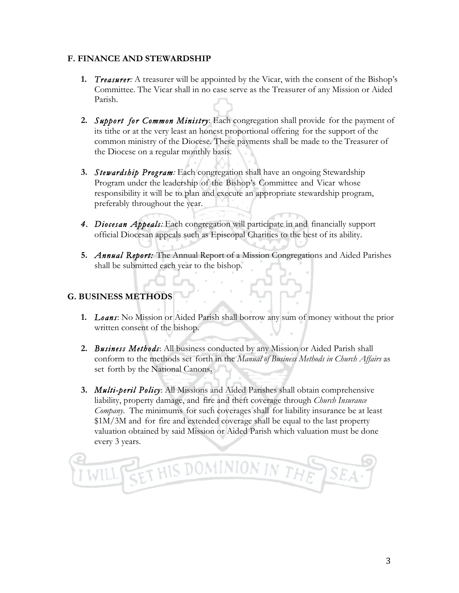#### **F. FINANCE AND STEWARDSHIP**

- **1.** *Treasurer:* A treasurer will be appointed by the Vicar, with the consent of the Bishop's Committee. The Vicar shall in no case serve as the Treasurer of any Mission or Aided Parish.
- **2.** *Support for Common Ministry*: Each congregation shall provide for the payment of its tithe or at the very least an honest proportional offering for the support of the common ministry of the Diocese. These payments shall be made to the Treasurer of the Diocese on a regular monthly basis.
- **3.** *Stewardship Program:* Each congregation shall have an ongoing Stewardship Program under the leadership of the Bishop's Committee and Vicar whose responsibility it will be to plan and execute an appropriate stewardship program, preferably throughout the year.
- *4. Diocesan Appeals:* Each congregation will participate in and financially support official Diocesan appeals such as Episcopal Charities to the best of its ability.
- **5.** *Annual Report:* The Annual Report of a Mission Congregations and Aided Parishes shall be submitted each year to the bishop.

## **G. BUSINESS METHODS**

- **1.** *Loans*: No Mission or Aided Parish shall borrow any sum of money without the prior written consent of the bishop.
- **2.** *Business Methods*: All business conducted by any Mission or Aided Parish shall conform to the methods set forth in the *Manual of Business Methods in Church Affairs* as set forth by the National Canons**.**
- **3.** *Multi-peril Policy*: All Missions and Aided Parishes shall obtain comprehensive liability, property damage, and fire and theft coverage through *Church Insurance Company*. The minimums for such coverages shall for liability insurance be at least \$1M/3M and for fire and extended coverage shall be equal to the last property valuation obtained by said Mission or Aided Parish which valuation must be done every 3 years.